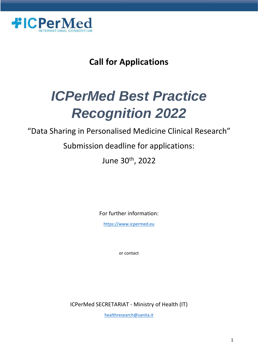

# **Call for Applications**

# *ICPerMed Best Practice Recognition 2022*

"Data Sharing in Personalised Medicine Clinical Research"

Submission deadline for applications:

June 30<sup>th</sup>, 2022

For further information:

[https://www.icpermed.eu](https://www.icpermed.eu/)

or contact

ICPerMed SECRETARIAT - Ministry of Health (IT)

[healthresearch@sanita.it](mailto:healthresearch@sanita.it)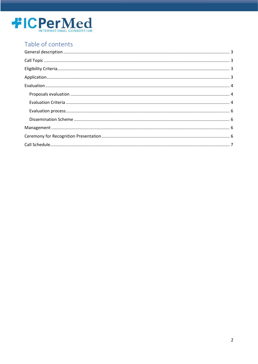

## Table of contents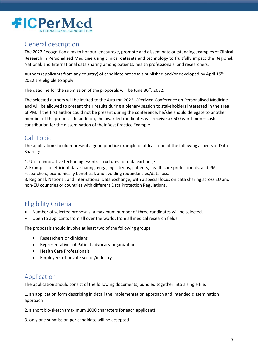

## <span id="page-2-0"></span>General description

The 2022 Recognition aims to honour, encourage, promote and disseminate outstanding examples of Clinical Research in Personalised Medicine using clinical datasets and technology to fruitfully impact the Regional, National, and International data sharing among patients, health professionals, and researchers.

Authors (applicants from any country) of candidate proposals published and/or developed by April 15<sup>th</sup>, 2022 are eligible to apply.

The deadline for the submission of the proposals will be June 30<sup>th</sup>, 2022.

The selected authors will be invited to the Autumn 2022 ICPerMed Conference on Personalised Medicine and will be allowed to present their results during a plenary session to stakeholders interested in the area of PM. If the first author could not be present during the conference, he/she should delegate to another member of the proposal. In addition, the awarded candidates will receive a €500 worth non – cash contribution for the dissemination of their Best Practice Example.

## <span id="page-2-1"></span>Call Topic

The application should represent a good practice example of at least one of the following aspects of Data Sharing:

1. Use of innovative technologies/infrastructures for data exchange

2. Examples of efficient data sharing, engaging citizens, patients, health care professionals, and PM researchers, economically beneficial, and avoiding redundancies/data loss.

3. Regional, National, and International Data exchange, with a special focus on data sharing across EU and non-EU countries or countries with different Data Protection Regulations.

## <span id="page-2-2"></span>Eligibility Criteria

- Number of selected proposals: a maximum number of three candidates will be selected.
- Open to applicants from all over the world, from all medical research fields

The proposals should involve at least two of the following groups:

- Researchers or clinicians
- Representatives of Patient advocacy organizations
- Health Care Professionals
- Employees of private sector/industry

## <span id="page-2-3"></span>Application

The application should consist of the following documents, bundled together into a single file:

1. an application form describing in detail the implementation approach and intended dissemination approach

2. a short bio-sketch (maximum 1000 characters for each applicant)

3. only one submission per candidate will be accepted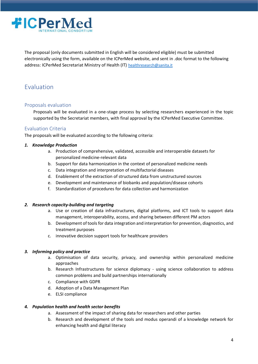

The proposal (only documents submitted in English will be considered eligible) must be submitted electronically using the form, available on the ICPerMed website, and sent in .doc format to the following address: ICPerMed Secretariat Ministry of Health (IT) healthresearch@sanita.it

## <span id="page-3-0"></span>Evaluation

#### <span id="page-3-1"></span>Proposals evaluation

Proposals will be evaluated in a one-stage process by selecting researchers experienced in the topic supported by the Secretariat members, with final approval by the ICPerMed Executive Committee.

#### <span id="page-3-2"></span>Evaluation Criteria

The proposals will be evaluated according to the following criteria:

#### *1. Knowledge Production*

- a. Production of comprehensive, validated, accessible and interoperable datasets for personalized medicine-relevant data
- b. Support for data harmonization in the context of personalized medicine needs
- c. Data integration and interpretation of multifactorial diseases
- d. Enablement of the extraction of structured data from unstructured sources
- e. Development and maintenance of biobanks and population/disease cohorts
- f. Standardization of procedures for data collection and harmonization

#### *2. Research capacity-building and targeting*

- a. Use or creation of data infrastructures, digital platforms, and ICT tools to support data management, interoperability, access, and sharing between different PM actors
- b. Development of tools for data integration and interpretation for prevention, diagnostics, and treatment purposes
- c. innovative decision support tools for healthcare providers

#### *3. Informing policy and practice*

- a. Optimisation of data security, privacy, and ownership within personalized medicine approaches
- b. Research Infrastructures for science diplomacy using science collaboration to address common problems and build partnerships internationally
- c. Compliance with GDPR
- d. Adoption of a Data Management Plan
- e. ELSI compliance

#### *4. Population health and health sector benefits*

- a. Assessment of the impact of sharing data for researchers and other parties
- b. Research and development of the tools and modus operandi of a knowledge network for enhancing health and digital literacy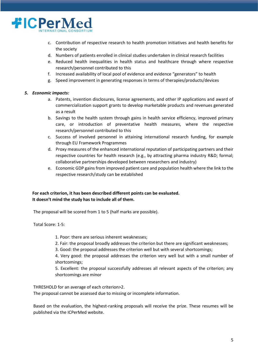

- c. Contribution of respective research to health promotion initiatives and health benefits for the society
- d. Numbers of patients enrolled in clinical studies undertaken in clinical research facilities
- e. Reduced health inequalities in health status and healthcare through where respective research/personnel contributed to this
- f. Increased availability of local pool of evidence and evidence "generators" to health
- g. Speed improvement in generating responses in terms of therapies/products/devices

#### *5. Economic impacts:*

- a. Patents, invention disclosures, license agreements, and other IP applications and award of commercialization support grants to develop marketable products and revenues generated as a result
- b. Savings to the health system through gains in health service efficiency, improved primary care, or introduction of preventative health measures, where the respective research/personnel contributed to this
- c. Success of involved personnel in attaining international research funding, for example through EU Framework Programmes
- d. Proxy measures of the enhanced international reputation of participating partners and their respective countries for health research (e.g., by attracting pharma industry R&D; formal; collaborative partnerships developed between researchers and industry)
- e. Economic GDP gains from improved patient care and population health where the link to the respective research/study can be established

#### **For each criterion, it has been described different points can be evaluated. It doesn't mind the study has to include all of them.**

The proposal will be scored from 1 to 5 (half marks are possible).

Total Score: 1-5:

- 1. Poor: there are serious inherent weaknesses;
- 2. Fair: the proposal broadly addresses the criterion but there are significant weaknesses;
- 3. Good: the proposal addresses the criterion well but with several shortcomings;

4. Very good: the proposal addresses the criterion very well but with a small number of shortcomings;

5. Excellent: the proposal successfully addresses all relevant aspects of the criterion; any shortcomings are minor

THRESHOLD for an average of each criterion>2.

The proposal cannot be assessed due to missing or incomplete information.

Based on the evaluation, the highest-ranking proposals will receive the prize. These resumes will be published via the ICPerMed website.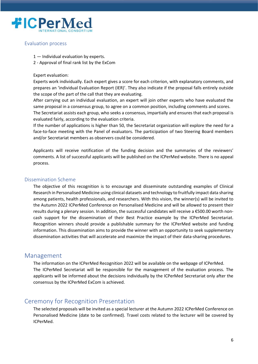

#### <span id="page-5-0"></span>Evaluation process

- 1 Individual evaluation by experts.
- 2 Approval of final rank list by the ExCom

#### Expert evaluation:

Experts work individually. Each expert gives a score for each criterion, with explanatory comments, and prepares an 'individual Evaluation Report (IER)'. They also indicate if the proposal falls entirely outside the scope of the part of the call that they are evaluating.

After carrying out an individual evaluation, an expert will join other experts who have evaluated the same proposal in a consensus group, to agree on a common position, including comments and scores.

The Secretariat assists each group, who seeks a consensus, impartially and ensures that each proposal is evaluated fairly, according to the evaluation criteria.

If the number of applications is higher than 50, the Secretariat organization will explore the need for a face-to-face meeting with the Panel of evaluators. The participation of two Steering Board members and/or Secretariat members as observers could be considered.

Applicants will receive notification of the funding decision and the summaries of the reviewers' comments. A list of successful applicants will be published on the ICPerMed website. There is no appeal process.

#### <span id="page-5-1"></span>Dissemination Scheme

The objective of this recognition is to encourage and disseminate outstanding examples of Clinical Research in Personalised Medicine using clinical datasets and technology to fruitfully impact data sharing among patients, health professionals, and researchers. With this vision, the winner(s) will be invited to the Autumn 2022 ICPerMed Conference on Personalised Medicine and will be allowed to present their results during a plenary session. In addition, the successful candidates will receive a €500.00 worth noncash support for the dissemination of their Best Practice example by the ICPerMed Secretariat. Recognition winners should provide a publishable summary for the ICPerMed website and funding information. This dissemination aims to provide the winner with an opportunity to seek supplementary dissemination activities that will accelerate and maximize the impact of their data-sharing procedures.

#### <span id="page-5-2"></span>Management

The information on the ICPerMed Recognition 2022 will be available on the webpage of ICPerMed. The ICPerMed Secretariat will be responsible for the management of the evaluation process. The applicants will be informed about the decisions individually by the ICPerMed Secretariat only after the consensus by the ICPerMed ExCom is achieved.

### <span id="page-5-3"></span>Ceremony for Recognition Presentation

The selected proposals will be invited as a special lecturer at the Autumn 2022 ICPerMed Conference on Personalised Medicine (date to be confirmed). Travel costs related to the lecturer will be covered by ICPerMed.